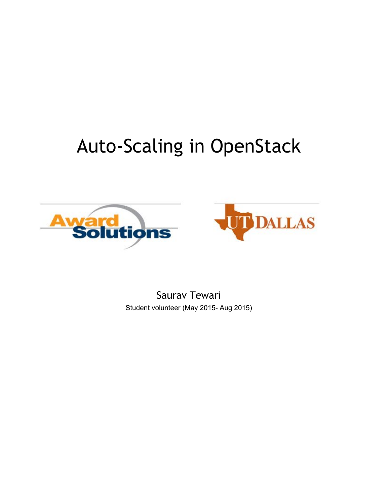# Auto-Scaling in OpenStack





Saurav Tewari Student volunteer (May 2015- Aug 2015)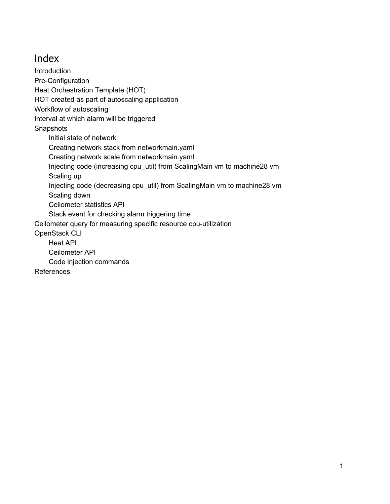# Index

**[Introduction](#page-2-0)** Pre-Configuration Heat [Orchestration](#page-2-2) Template (HOT) HOT created as part of [autoscaling](#page-3-0) application Workflow of [autoscaling](#page-5-0) Interval at which alarm will be [triggered](#page-5-1) **[Snapshots](#page-7-0)** Initial state of [network](#page-7-1) Creating network stack from [networkmain.yaml](#page-7-2) Creating network scale from [networkmain.yaml](#page-8-0) Injecting code (increasing cpu\_util) from [ScalingMain](#page-8-1) vm to machine28 vm [Scaling](#page-9-0) up Injecting code (decreasing cpu\_util) from [ScalingMain](#page-10-0) vm to machine28 vm [Scaling](#page-10-1) down [Ceilometer](#page-11-0) statistics API Stack event for checking alarm [triggering](#page-11-1) time Ceilometer query for measuring specific resource cpu-utilization [OpenStack](#page-12-0) CLI [Heat](#page-12-1) API [Ceilometer](#page-12-2) API Code injection [commands](#page-13-0)

[References](#page-13-1)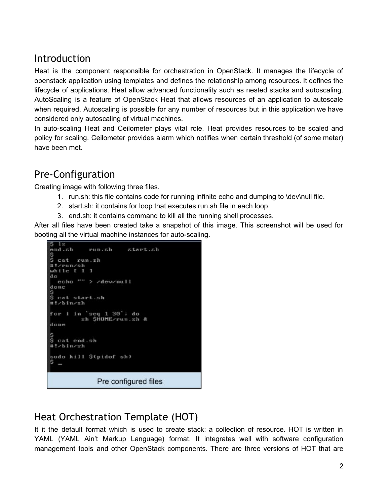## <span id="page-2-0"></span>Introduction

Heat is the component responsible for orchestration in OpenStack. It manages the lifecycle of openstack application using templates and defines the relationship among resources. It defines the lifecycle of applications. Heat allow advanced functionality such as nested stacks and autoscaling. AutoScaling is a feature of OpenStack Heat that allows resources of an application to autoscale when required. Autoscaling is possible for any number of resources but in this application we have considered only autoscaling of virtual machines.

In auto-scaling Heat and Ceilometer plays vital role. Heat provides resources to be scaled and policy for scaling. Ceilometer provides alarm which notifies when certain threshold (of some meter) have been met.

# <span id="page-2-1"></span>Pre-Configuration

Creating image with following three files.

- 1. run.sh: this file contains code for running infinite echo and dumping to \dev\null file.
- 2. start.sh: it contains for loop that executes run.sh file in each loop.
- 3. end.sh: it contains command to kill all the running shell processes.

After all files have been created take a snapshot of this image. This screenshot will be used for booting all the virtual machine instances for auto-scaling.

```
1sstart.sh
end.sh
            run.sh
s<br>Scatrunsh
#!/run/sh
while f 1 1do
  echo "" > /dewnull
done
$<br>$ cat start.sh
#!/bin/sh
for i in 'seq 1 30'; do<br>sh $HOME/run.sh &
done
$<br>$ cat end.sh
#!/bin/sh
sudo kill ${pidof sh)<br>$ -
               Pre configured files
```
# <span id="page-2-2"></span>Heat Orchestration Template (HOT)

It it the default format which is used to create stack: a collection of resource. HOT is written in YAML (YAML Ain't Markup Language) format. It integrates well with software configuration management tools and other OpenStack components. There are three versions of HOT that are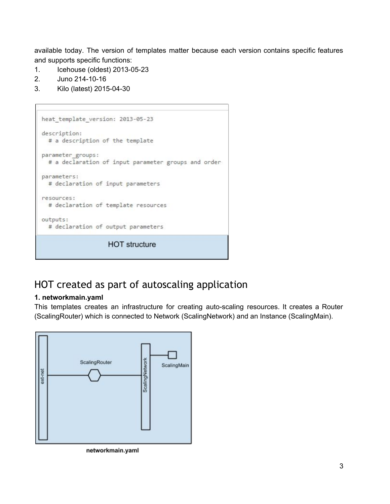available today. The version of templates matter because each version contains specific features and supports specific functions:

- 1. Icehouse (oldest) 2013-05-23
- 2. Juno 214-10-16
- 3. Kilo (latest) 2015-04-30

```
heat template version: 2013-05-23
description:
 # a description of the template
parameter_groups:
 # a declaration of input parameter groups and order
parameters:
  # declaration of input parameters
resources:
  # declaration of template resources
outputs:
 # declaration of output parameters
                    HOT structure
```
# <span id="page-3-0"></span>HOT created as part of autoscaling application

#### **1. networkmain.yaml**

This templates creates an infrastructure for creating auto-scaling resources. It creates a Router (ScalingRouter) which is connected to Network (ScalingNetwork) and an Instance (ScalingMain).



networkmain.yaml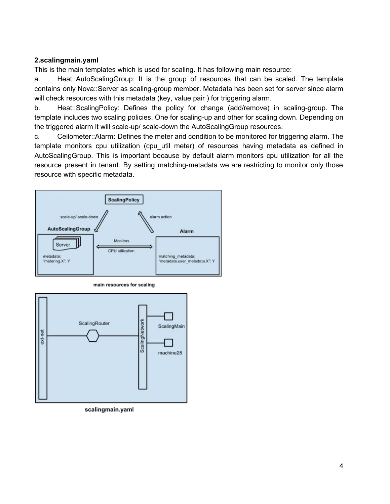#### **2.scalingmain.yaml**

This is the main templates which is used for scaling. It has following main resource:

a. Heat::AutoScalingGroup: It is the group of resources that can be scaled. The template contains only Nova::Server as scaling-group member. Metadata has been set for server since alarm will check resources with this metadata (key, value pair) for triggering alarm.

b. Heat::ScalingPolicy: Defines the policy for change (add/remove) in scaling-group. The template includes two scaling policies. One for scaling-up and other for scaling down. Depending on the triggered alarm it will scale-up/ scale-down the AutoScalingGroup resources.

c. Ceilometer::Alarm: Defines the meter and condition to be monitored for triggering alarm. The template monitors cpu utilization (cpu\_util meter) of resources having metadata as defined in AutoScalingGroup. This is important because by default alarm monitors cpu utilization for all the resource present in tenant. By setting matching-metadata we are restricting to monitor only those resource with specific metadata.



main resources for scaling



scalingmain.yaml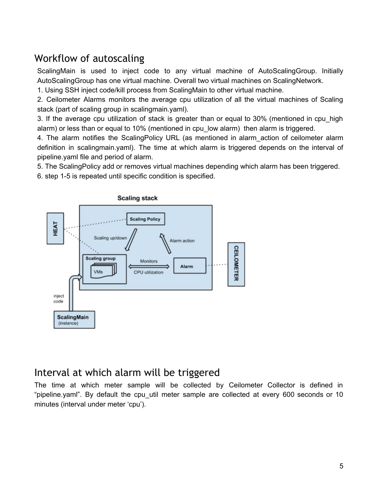# <span id="page-5-0"></span>Workflow of autoscaling

ScalingMain is used to inject code to any virtual machine of AutoScalingGroup. Initially AutoScalingGroup has one virtual machine. Overall two virtual machines on ScalingNetwork.

1. Using SSH inject code/kill process from ScalingMain to other virtual machine.

2. Ceilometer Alarms monitors the average cpu utilization of all the virtual machines of Scaling stack (part of scaling group in scalingmain.yaml).

3. If the average cpu utilization of stack is greater than or equal to 30% (mentioned in cpu\_high alarm) or less than or equal to 10% (mentioned in cpu\_low alarm) then alarm is triggered.

4. The alarm notifies the ScalingPolicy URL (as mentioned in alarm action of ceilometer alarm definition in scalingmain.yaml). The time at which alarm is triggered depends on the interval of pipeline.yaml file and period of alarm.

5. The ScalingPolicy add or removes virtual machines depending which alarm has been triggered.

6. step 1-5 is repeated until specific condition is specified.



### <span id="page-5-1"></span>Interval at which alarm will be triggered

The time at which meter sample will be collected by Ceilometer Collector is defined in "pipeline.yaml". By default the cpu\_util meter sample are collected at every 600 seconds or 10 minutes (interval under meter 'cpu').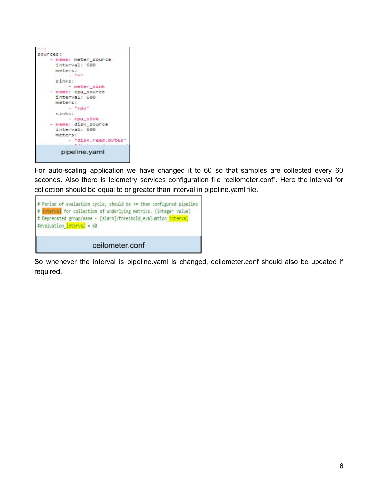

For auto-scaling application we have changed it to 60 so that samples are collected every 60 seconds. Also there is telemetry services configuration file "ceilometer.conf". Here the interval for collection should be equal to or greater than interval in pipeline.yaml file.



So whenever the interval is pipeline.yaml is changed, ceilometer.conf should also be updated if required.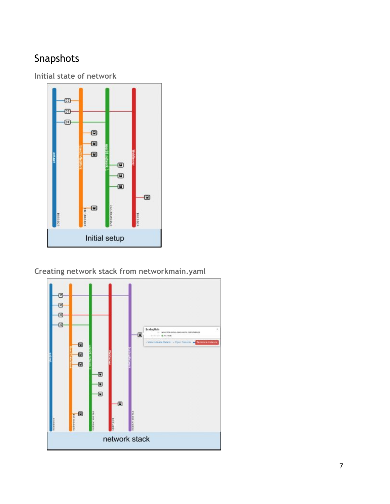# <span id="page-7-0"></span>Snapshots

<span id="page-7-1"></span>**Initial state of network**



<span id="page-7-2"></span>**Creating network stack from networkmain.yaml**

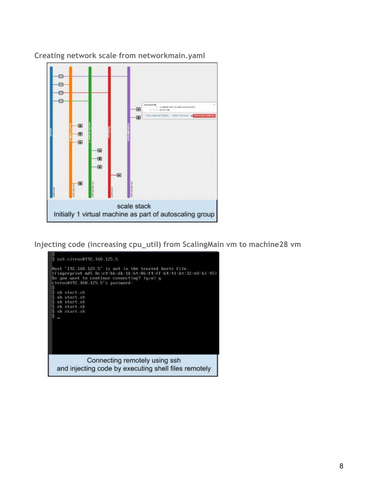

<span id="page-8-0"></span>**Creating network scale from networkmain.yaml**

<span id="page-8-1"></span>**Injecting code (increasing cpu\_util) from ScalingMain vm to machine28 vm**

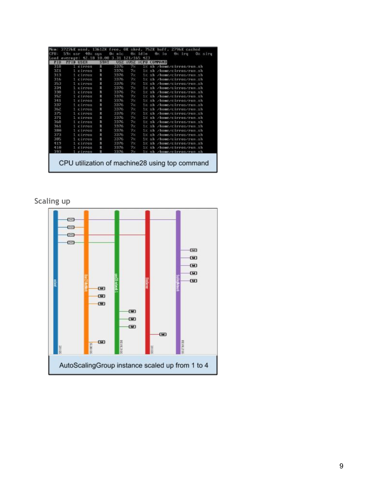| <b>CPIL:</b> | 7276K<br>59%            | used.<br>4日に<br>$0.8$ r | 1361ZK<br>SUS.                                 | free, OK<br>BM.<br>nic | Gv.                   | shrd, 752K<br>idis         |                 | buff<br>Gor.<br>îπ  | 27968<br>ex. | iru | cached | Gz sire |
|--------------|-------------------------|-------------------------|------------------------------------------------|------------------------|-----------------------|----------------------------|-----------------|---------------------|--------------|-----|--------|---------|
| <b>PID</b>   | average:<br><b>PPID</b> | 42.18<br><b>USER</b>    | 18.66<br><b>STAT</b>                           | з<br>.31<br><b>USZ</b> | 21/165<br><b>ZUSZ</b> | 423<br><b>ZCPU COMMAND</b> |                 |                     |              |     |        |         |
| 310          |                         | cirros                  | R                                              | 3376                   | 72                    | 18                         |                 | /home/cirroz/run.sh |              |     |        |         |
| 321          |                         | irros                   | R                                              | 3376                   | 7 <sup>2</sup>        | 18                         | sh              | /home/cirros/run.sh |              |     |        |         |
| 313          |                         | cirros                  | R                                              | 3376                   | 7 <sub>x</sub>        | 18                         |                 | /home/cirros/run.sh |              |     |        |         |
| 316          |                         | CIPPOS                  | R                                              | 3376                   | 7%                    | 12                         |                 | /home/cirros/run.sh |              |     |        |         |
| 353          |                         | <b>Cirros</b>           | R                                              | 3376                   | 7 <sub>K</sub>        | 18                         | $\mathbb{R}$    | /home/cirros/run.sh |              |     |        |         |
| 334          |                         | cirros                  | R                                              | 3376                   | 7%                    | 18                         | $\mathbf{x}$ is | /home/cirroz/run.sh |              |     |        |         |
| 338          |                         | Cirrox                  | 言                                              | 3376                   | <b>7%</b>             | $1\times$                  | $\times$ h      | /home/cirrox/run.sh |              |     |        |         |
| 352          |                         | CIPPOS                  | R                                              | 3376                   | 7%                    | 12                         | $\frac{1}{2}$   | /home/cirros/run.sh |              |     |        |         |
| 341          |                         | Cirros                  | B                                              | 3376                   | $7\%$                 | $1\times$                  | $\frac{1}{2}$   | /home/cirros/run.sh |              |     |        |         |
| 337          |                         | cirrox                  | R                                              | 3376                   | $7\times$             | $1\times$                  |                 | /home/cirros/run.sh |              |     |        |         |
| 362          |                         | Circus                  | R                                              | 3376                   | 7x                    | 12                         |                 | /home/cirros/run.sh |              |     |        |         |
| 375          |                         | Cirros                  | R                                              | 3376                   | 7%                    | 1%                         |                 | /home/cirroz/run.sh |              |     |        |         |
| 371          |                         | cirros                  | R                                              | 3376                   | 7x                    | 18                         |                 | /home/cirros/run.sh |              |     |        |         |
| 368          |                         | Cirros                  | R                                              | 3376                   | $7\times$             | 18                         | мh              | /home/cirros/run.sh |              |     |        |         |
| 361          |                         | cirros                  | R                                              | 3376                   | $7\times$             | 12                         | 5h              | /home/cirros/run.sh |              |     |        |         |
| 380          |                         | Cirros                  | R                                              | 3376                   | 7x                    | $1\times$                  | $\leq b$        | /home/cirros/run.sh |              |     |        |         |
| 373          |                         | CIPPOS                  | R                                              | 3376                   | 7 <sub>k</sub>        | $1\times$                  |                 | /home/cirros/run.sh |              |     |        |         |
| 385          |                         | cirros                  | R                                              | 3376                   | 7 <sub>2</sub>        | 1×                         | $\mathbf{x}$ h  | /home/cirros/run.sh |              |     |        |         |
| 419          |                         | cirrox                  | R                                              | 3376                   | 7%                    | $1\times$                  |                 | /bomc/cirres/run.sh |              |     |        |         |
| 418          |                         | CIPPOS                  | B                                              | 3376                   | $7\%$                 | $1\times$                  |                 | /home/cirros/run.sh |              |     |        |         |
| 393          |                         | cirros                  | R                                              | 3376                   | 7%                    | 12                         | 2h              | /home/cirros/run.sh |              |     |        |         |
|              |                         |                         | CPU utilization of machine28 using top command |                        |                       |                            |                 |                     |              |     |        |         |

### <span id="page-9-0"></span>**Scaling up**

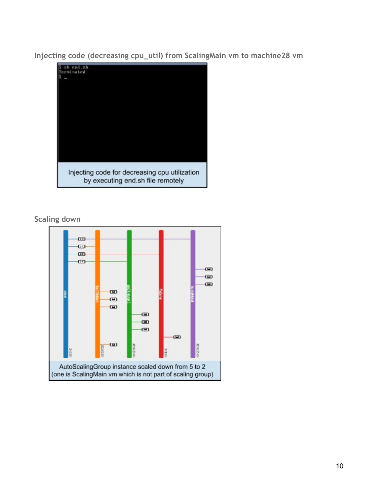<span id="page-10-0"></span>**Injecting code (decreasing cpu\_util) from ScalingMain vm to machine28 vm**



<span id="page-10-1"></span>**Scaling down**

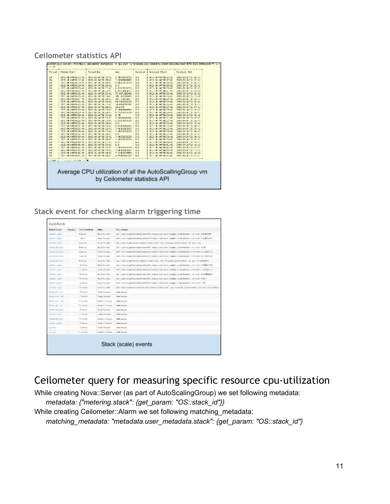#### <span id="page-11-0"></span>**Ceilometer statistics API**

|              | Perded Start                  | Period Exc                | AMO                        | <b>Buration</b> | <b>Xronice Stort</b>         | <b>Buration, Ord</b>    |
|--------------|-------------------------------|---------------------------|----------------------------|-----------------|------------------------------|-------------------------|
| 63           | 2012-00-01133335111           | 2015-10-34 [LE: 17:4].    | 0.1803300330               | 1.0             | 2012/08/09 11:12:13:11       | 2015-63-8-T20: LC: 42   |
| 85           | 1019.00.04T15-10-41           | 2015.05.34"18-18-4"       | 1 ORIGINALIST              | F               | 2013. W. Admin-17-41         | 2515.05.84712-17-47     |
| b4           | 2015-140-1-4113-6, 23111      | 2011-04-04:15:19:41       | 5.100000000                | 2.1             |                              | 2415-84-85115-15-41     |
| 65           | 2015-00-04733:29:41           | 2015-10-34"10:28:41       | 0.1                        | 1.0             | 2015-00-04718:19:41          | 2015-80-34710-15:40     |
| 54           | <b>TEIN</b><br>PR F4115-25-41 | 2015. EX. 92719 (17) 41   | 2. HERE EVERY EN           | B.F             | 2013. W. HATTEL2 Todd.       | 2419-04-02112-00-03     |
| bit.         | 2012/09/09 11:14:21:11        | 2013-20-30 13:53:41       | 2、网络对称来说, 2.3              | 2.1             | 2012/07/08 09:00 09:00 09:00 | 2013-20-21 12:21:02     |
| EX.          | 2015-00-04733:22:41           | 2015-30-34"18-23-41       | 17.6271185441              | L               | 2015. W. APPIR: 12:41        | 2015-09-04120-21:41     |
| 64           | <b>TELE</b><br>HP +4114-24-41 | 2015 BC 92719 (24) 41     | 101-412-29-015             | 2.1             | (F15) @ HdT18+24+47          | 2415 84 81112-79-62     |
| 63           | 2012-00-641113:21:14L         | 2012-10-34 11:25:41       | 120 Salva 2021             | 3.6             | 2012/03/04 11:00:21:01       | 2015-13-3/11/1201-01    |
| 85           | 2019.08.04T15:25:41           | 2015.35.34718.58-41       | 54.59233223                | 5.0             | 2015. NUMBER 18-25-41        | 2015-05-34712-09-41     |
| 64           | 2015 HD 6-411-612-1-11.       | 2015 BC 40113 (27) 41     | 38.4989040640              | 2.1             | <b>July 10 Martin Sheets</b> | 2415-24-21112-01-41     |
| g3           | 2012-00-04733:27:41           | 2025-20-24TLC:28:40       | 15,6375                    | 1.0             | 2012-00-04718:27:41          | 2015-03-34710-27:41     |
| 84           | 1019.00.04T19.25-41           | 2015. EX. 32719-15-41     | <b>S. TRANSMITTED</b>      | F               | 2015. 30 . Addition 23 - 41. | 2515.05.02772.00.45     |
| b4           | 2012/09/09 12:30:30:31        | 2012/03/2012 12:53:14     | $3 - 25 + 4 + 4 + 4 + 4 +$ | 2.1             | 28-22-40-940-18-24-4141      | 2015-10-01-12-05-01     |
| <b>C)</b>    | 2015-06-04T13:30:41           | 2015.30.34716:33:41       | 0.35                       | L <sub>c</sub>  | 2015-00-04718:20:41          | 2015-80-3-716-00:40     |
| 64           | 1215 of F4114-31-41           | 2013 EX 92119 (52-4)      | 9 1404404040               | 2.1             | 2012. W. HATTELY 141         | 2415 84 85112-31-41     |
| E3           | 2012/09/09 11:12:12:11        | 2015-20-30 ILC2104-       | 1.111111111                | 1.1             | a.<br>2-A-94110121111        | 2015-1-1-1-1-1<br>3.141 |
| <b>BX</b>    | 2015.00.04T15-35-41           | 2005-05-34718-34:41       | 8.6                        | 1.0             | SCIAL SCLASTIC-75-41         | 2015-03-34110-32-43     |
| 64           | HD F4114:41-11                | 2011 EX 41119 1514        | 5. HTM MA WAY              | E.B             | <b>IF &amp; MITH/FILMS</b>   | 2415 84 81112 44:41     |
| 65           | 2015-00-04T33:35:41           | 2015-10-24 LE: 26:40      |                            | E.E             | 2012/08/09 T18:22:31         | 2015-80-8-700-00:40     |
| 95           | 1819 - AB - PATTR- 35-41      | 2015. 35. 32"19-37-4"     | <b>TOPPERTS</b>            | $\mathbf{r}$    | 2013. W. Admin. 75-41        | 2315.05.84712 - 58 - 41 |
| b-4          | $-20.5 - 40.4114$ , $47.11$   | 2011 - Ed 44 15 - 15 - 4. | 5.14                       | 2.1             | 2012/07/08 09:00 10:00 14:00 | 2415-84-811130-04141    |
| E)           | 2015-06-04T13:33:41           | 2015-30-34716:08:40       | 7.96323333233              | 1.0             | 2015-00-04718:20:41          | 2015-03-3-100:00:40     |
| 54           | HP-F4T14-T3-41                | 2015. EX. 32119 - 28 - 41 | 2012/07/2012 13:45         | 5.5             | 2013. W. Hd T18+31+d1        | 2414.84.81112.08.21     |
| bid.         | 2012-00-01114140111           | 2013-20-40-1810312        | b. M                       | 2.1             | 2012/03/06 09:00 10:00:00    | 2010/14/07 03:07 03:07  |
| <b>B</b>     | 2015-06-04T13:41:41           | 2005-00-34718-42-41       | 2.0                        | 5.0             | 2015-00-04718:41:41          | 2015-89-94700 41:40     |
| $\mathbf{B}$ | 1219<br>HP P4114-42-41        | 2015 EC 45113 (41-4)      | 1.180401015                | E.E             | 39116 No. 100218-02-02-      | 2415 84 81112-12-23     |
| 69           | 2012-00-01112112111           | 2015-20-34 [18:44:4]      | 7.96309063067              | 5.0             | 2012-20-041103-00:41         | 2015-83-8-110-42-42     |
| 85           | 1015-08-04T15-44-41           | 2015.35.34718-28-41       | 1.939(3279(8)              | 5.0             | 2013. NUMBER 18: 44: 42      | 2515-85-34712 44:42     |
|              |                               | 2011 - DC 44113 - Chrd.   | <b>2. Mail 4 (4)</b>       | 2.1             | middle                       | 2415-24-25115.          |

<span id="page-11-1"></span>**Stack event for checking alarm triggering time**

| <b>Bird Forcers</b>           | <b>Keyvery</b> | Tors I are local.     | <b>Holes</b>              | <b>Builder Required</b>                                                                                                                                                              |
|-------------------------------|----------------|-----------------------|---------------------------|--------------------------------------------------------------------------------------------------------------------------------------------------------------------------------------|
| tra Bright's andure           |                | 3 min.i pp.           | Build Contains            | also a single changed book about in about Way, arrival as single you in 1 september, could be adopted a security \$100 MMC FC.                                                       |
| my family in patient          |                | min.c.v               | <b>Manach Booth</b>       | they can conquising down to down the sides of the subset of a market complete contain the state when we are full MCVD to                                                             |
| In Bally Lobox                |                | E dent law            | Sprint Corp. below        | We'll a label handed both disk above in a door is war. Surround a series to see the dots in section of the                                                                           |
| my Brasil Carl Joshur         |                | Sminister.            | Bural Carrateira          | ally in state changed from about to about (Part delty in state that is a sumply, which from helt. In set in each 12-CF)                                                              |
| my Great List Annal           |                | Lincoln Fax           | <b>Send Combine</b>       | USE THA MAQUEBAN ANNUAL GERO E APRINTA A BE AUTO TURBER STOLE BOARD PART OF HIS ELECTIC                                                                                              |
| try Great Lit Aniser          |                | <b>Departed</b>       | <b>Send Combate</b>       | sive can consider the state of sizes plan sing to sure out to business a real motion, even now and state and                                                                         |
| miliatellal aver-             |                | <b>Report Follows</b> | the of Cor-webs           | the children in your boards by about 15 a subjectionale. Active Laurabia concentrated to you were 1. If INVESCOPY-                                                                   |
| ing Banak of gasiling         |                | <b>Seduzion</b>       | <b>Good Carrices</b>      | plant chain a barged from above to above (Part delay or state star by I stamples wouldn't beneficial wind young A CARDIN 1000).                                                      |
| Ing forest in grow's          |                | 17 WASTER             | WAS LIVE SAFE             | 9571 ESS/155/ART/28 2006 2009 M 4815 2 S7 5/5/21 EART / CAM 1 ERREST STEWART/2012 /2/22 2012 EDMAN E.E.                                                                              |
| ing Brack / Landy C           |                | "E minimum            | Burnt Carl John           | the resident increased from above to above Pier antest to share works I manufact colorate Benefield, in our local 1000 MMSS (917)                                                    |
| ing Brack Cambos              |                | "Crowledge            | Build Car-Jobs            | also a since harged from about to also to Disc sering as significant to Complex volunte Breathers, a well as CEO.                                                                    |
| to fast a pairs               |                | & Winston             | Geneti Commune            | alors while whosped both along to alors of the sides on state and it is analytic retride therefore went moved AAM,                                                                   |
| IN START DISCO                |                | 75 milled             | Sonit Ush Sale            | We'll a falled hoped from model will crite to abstract thresholds also to a series a series for centered through the criterial state of a support that the control of the control of |
| McDoc also they               |                | "I" rol situs         | Drugis Carriettis         | skale iductors)                                                                                                                                                                      |
| My Den John High              |                | <b>E MAY KAZ</b>      | GAME CARAINE              | <b>UNINE DESANAA</b>                                                                                                                                                                 |
| <b>Big Corp. May 11 Earls</b> |                | *Consider             | Dealer in Parkama         | side showed                                                                                                                                                                          |
| <b>Networker-Ref</b>          |                | */ conduct            | Drawing in Makamata       | slabs chances.                                                                                                                                                                       |
| ing Basic Col. and as         |                | Telepe                | South Camario             | state offered it                                                                                                                                                                     |
| my telus in posity            |                | FU PUSAEE             | <b>HANTAHAN</b>           | <b>IRALISESTAT</b>                                                                                                                                                                   |
| in Basicolal avera            |                | "The shop.            | Drught in Flascience      | idade observei                                                                                                                                                                       |
| try Tender and the            |                | Celesse               | <b>Coulty in Treasure</b> | skells televizint                                                                                                                                                                    |
| try Direct                    |                | C mining              | <b>County Company</b>     | sitate shotchd                                                                                                                                                                       |
| ing Group                     |                | 12 million            | DARK IT TOWN              | idade (Tailcie)                                                                                                                                                                      |
|                               |                |                       |                           | Stack (scale) events                                                                                                                                                                 |

# <span id="page-11-2"></span>Ceilometer query for measuring specific resource cpu-utilization

While creating Nova::Server (as part of AutoScalingGroup) we set following metadata:

*metadata: {"metering.stack": {get\_param: "OS::stack\_id"}}*

While creating Ceilometer::Alarm we set following matching\_metadata:

*matching\_metadata: "metadata.user\_metadata.stack": {get\_param: "OS::stack\_id"}*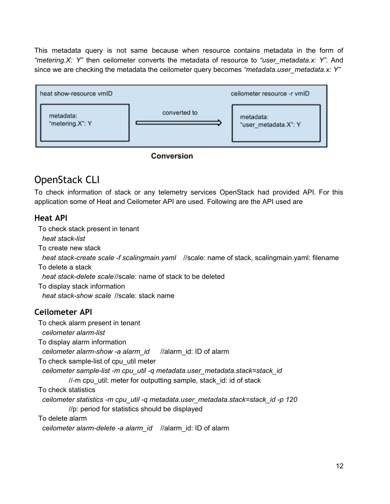This metadata query is not same because when resource contains metadata in the form of *"metering.X: Y"* then ceilometer converts the metadata of resource to *"user\_metadata.x: Y".* And since we are checking the metadata the ceilometer query becomes *"metadata.user\_metadata.x: Y"*



### Conversion

# <span id="page-12-0"></span>OpenStack CLI

To check information of stack or any telemetry services OpenStack had provided API. For this application some of Heat and Ceilometer API are used. Following are the API used are

### <span id="page-12-1"></span>**Heat API**

To check stack present in tenant *heat stack-list* To create new stack *heat stack-create scale -f scalingmain.yaml //scale: name of stack, scalingmain.yaml: filename* To delete a stack *heat stack-delete scale*//scale: name of stack to be deleted To display stack information *heat stack-show scale //scale: stack name* **Ceilometer API** To check alarm present in tenant *ceilometer alarmlist* To display alarm information *ceilometer alarmshow a alarm\_id* //alarm\_id: ID of alarm To check sample-list of cpu util meter

<span id="page-12-2"></span>*ceilometer samplelist m cpu\_util q metadata.user\_metadata.stack=stack\_id*

//-m cpu\_util: meter for outputting sample, stack\_id: id of stack

To check statistics

*ceilometer statistics m cpu\_util q metadata.user\_metadata.stack=stack\_id p 120* //p: period for statistics should be displayed

To delete alarm

*ceilometer alarmdelete a alarm\_id* //alarm\_id: ID of alarm